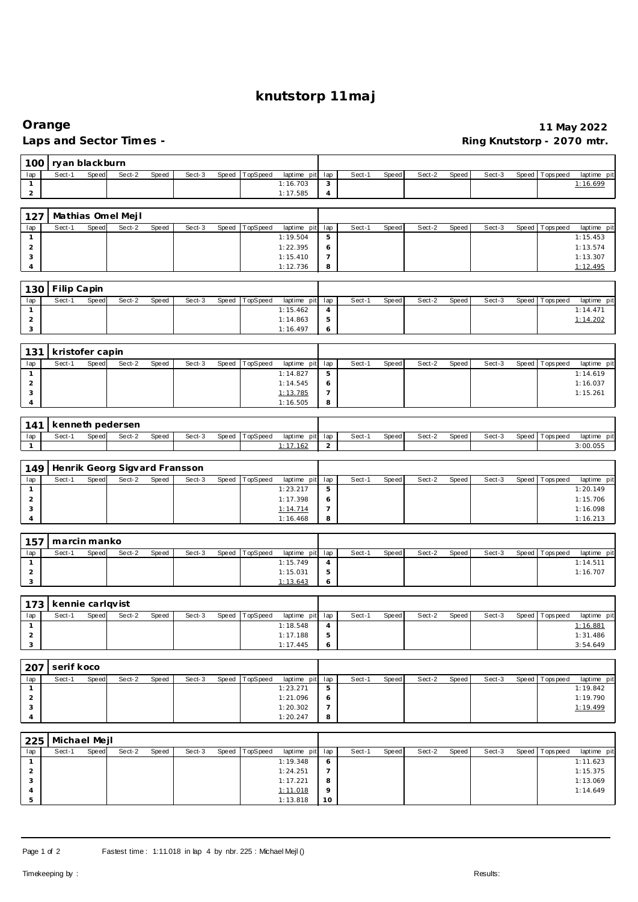# **knutstorp 11maj**

## **Orange 11 May 2022** Ring Knutstorp - 2070 mtr.

| Sect-1<br>Speed<br>Sect-2<br>Speed<br>TopSpeed<br>Sect-1<br>lap<br>Sect-3<br>Speed<br>laptime pit<br>lap<br>Speed<br>Sect-2<br>Speed<br>Sect-3<br>Speed Topspeed<br>1:16.703<br>$\sqrt{3}$<br>1:16.699<br>$\mathbf{1}$<br>$\overline{c}$<br>1:17.585<br>$\overline{4}$<br>127<br>Mathias Omel Mejl<br>Sect-1<br>Speed<br>Sect-2<br>Speed<br>lap<br>Sect-3<br>Speed<br>TopSpeed<br>laptime pit<br>lap<br>Sect-1<br>Speed<br>Sect-2<br>Speed<br>Sect-3<br>Speed   Tops peed<br>5<br>1:19.504<br>1:15.453<br>$\mathbf{1}$<br>$\overline{c}$<br>1:22.395<br>1:13.574<br>6<br>3<br>1:15.410<br>$\overline{7}$<br>1:13.307<br>1:12.736<br>8<br>1:12.495<br>4<br>Filip Capin<br>130<br>Sect-1<br>Sect-2<br>Speed<br>Sect-3<br>Speed<br>TopSpeed<br>Sect-1<br>Sect-2<br>Speed<br>lap<br>Speed<br>laptime pit<br>lap<br>Speed<br>Speed<br>Sect-3<br>Tops peed<br>1:15.462<br>$\sqrt{4}$<br>1:14.471<br>$\mathbf{1}$<br>$\overline{2}$<br>1:14.863<br>5<br>1:14.202<br>3<br>1:16.497<br>6<br>131<br>kristofer capin<br>Sect-1<br>Speed<br>Sect-2<br>Speed<br>Sect-3<br>Speed<br>TopSpeed<br>Sect-1<br>Sect-2<br>Sect-3<br>Speed   Tops peed<br>lap<br>laptime pit<br>lap<br>Speed<br>Speed<br>5<br>$\mathbf{1}$<br>1:14.827<br>1:14.619<br>$\overline{a}$<br>1:14.545<br>1:16.037<br>6<br>3<br>$\overline{7}$<br>1:13.785<br>1:15.261<br>1:16.505<br>8<br>4<br>kenneth pedersen<br>141<br>Sect-1<br>Speed<br>Sect-2<br>Speed<br>TopSpeed<br>lap<br>Sect-3<br>Speed<br>laptime pit<br>lap<br>Sect-1<br>Speed<br>Sect-2<br>Speed<br>Sect-3<br>Speed Topspeed<br>$\overline{a}$<br>1:17.162<br>3:00.055<br>$\mathbf{1}$<br>Henrik Georg Sigvard Fransson<br>149<br>Sect-1<br>Speed<br>Sect-2<br>Speed<br>Sect-3<br>Speed<br>TopSpeed<br>Sect-1<br>lap<br>laptime pit<br>lap<br>Speed<br>Sect-2<br>Speed<br>Sect-3<br>Speed Topspeed<br>5<br>1:23.217<br>1:20.149<br>$\mathbf{1}$<br>$\overline{2}$<br>1:17.398<br>1:15.706<br>6<br>$\overline{7}$<br>3<br>1:14.714<br>1:16.098<br>1:16.468<br>8<br>1:16.213<br>4<br>157<br>marcin manko<br>Sect-1<br>Speed<br>Sect-2<br>Speed<br>Sect-3<br>Speed<br>TopSpeed<br>Sect-1<br>Speed<br>Sect-2<br>Sect-3<br>Speed   Tops peed<br>lap<br>laptime pit<br>lap<br>Speed<br>1:15.749<br>$\mathbf{1}$<br>$\overline{4}$<br>1:14.511<br>$\overline{2}$<br>1:15.031<br>5<br>1:16.707<br>3<br>1:13.643<br>6<br>173<br>kennie carlqvist<br>Sect-2<br>Speed<br>TopSpeed<br>Sect-2<br>lap<br>Sect-1<br>Speed<br>Sect-3<br>Speed<br>Sect-1<br>Speed<br>Speed<br>Sect-3<br>Speed<br>laptime pit<br>lap<br>Tops peed<br>$\overline{4}$<br>1:16.881<br>$\mathbf{1}$<br>1:18.548<br>$\overline{2}$<br>1:17.188<br>5<br>1:31.486<br>3<br>1:17.445<br>6<br>3:54.649<br>serif koco<br>207<br>Sect-1<br>$\overline{\text{S}}$ ect-2<br>lap<br>Speed<br>Speed<br>Sect-3<br>Speed<br>TopSpeed<br>laptime pit<br>lap<br>Sect-1<br>Speed<br>Sect-2<br>Speed<br>Sect-3<br>Speed Topspeed<br>1:23.271<br>5<br>1:19.842<br>$\mathbf{1}$<br>$\sqrt{2}$<br>1:19.790<br>1:21.096<br>6<br>3<br>1:20.302<br>$\overline{7}$<br>1:19.499<br>1:20.247<br>8<br>4<br>Michael Mejl<br>225<br>Speed<br>Sect-2<br>Sect-1<br>Speed<br>Sect-3<br>TopSpeed<br>laptime pit<br>Sect-1<br>Speed<br>Sect-2<br>Sect-3<br>Speed   Topspeed<br>lap<br>Speed<br>lap<br>Speed<br>1:19.348<br>1:11.623<br>$\mathbf{1}$<br>6<br>$\sqrt{2}$<br>1:24.251<br>$\overline{7}$<br>1:15.375 |   |  |  |  |  |  |  |  |  |  |  |  |  |  |  |  | laptime pit<br>laptime pit |
|-------------------------------------------------------------------------------------------------------------------------------------------------------------------------------------------------------------------------------------------------------------------------------------------------------------------------------------------------------------------------------------------------------------------------------------------------------------------------------------------------------------------------------------------------------------------------------------------------------------------------------------------------------------------------------------------------------------------------------------------------------------------------------------------------------------------------------------------------------------------------------------------------------------------------------------------------------------------------------------------------------------------------------------------------------------------------------------------------------------------------------------------------------------------------------------------------------------------------------------------------------------------------------------------------------------------------------------------------------------------------------------------------------------------------------------------------------------------------------------------------------------------------------------------------------------------------------------------------------------------------------------------------------------------------------------------------------------------------------------------------------------------------------------------------------------------------------------------------------------------------------------------------------------------------------------------------------------------------------------------------------------------------------------------------------------------------------------------------------------------------------------------------------------------------------------------------------------------------------------------------------------------------------------------------------------------------------------------------------------------------------------------------------------------------------------------------------------------------------------------------------------------------------------------------------------------------------------------------------------------------------------------------------------------------------------------------------------------------------------------------------------------------------------------------------------------------------------------------------------------------------------------------------------------------------------------------------------------------------------------------------------------------------------------------------------------------------------------------------------------------------------------------------------------------------------------------------------------------------------------------------------------------------------------------------------------------------------------------------------|---|--|--|--|--|--|--|--|--|--|--|--|--|--|--|--|----------------------------|
|                                                                                                                                                                                                                                                                                                                                                                                                                                                                                                                                                                                                                                                                                                                                                                                                                                                                                                                                                                                                                                                                                                                                                                                                                                                                                                                                                                                                                                                                                                                                                                                                                                                                                                                                                                                                                                                                                                                                                                                                                                                                                                                                                                                                                                                                                                                                                                                                                                                                                                                                                                                                                                                                                                                                                                                                                                                                                                                                                                                                                                                                                                                                                                                                                                                                                                                                                             |   |  |  |  |  |  |  |  |  |  |  |  |  |  |  |  |                            |
|                                                                                                                                                                                                                                                                                                                                                                                                                                                                                                                                                                                                                                                                                                                                                                                                                                                                                                                                                                                                                                                                                                                                                                                                                                                                                                                                                                                                                                                                                                                                                                                                                                                                                                                                                                                                                                                                                                                                                                                                                                                                                                                                                                                                                                                                                                                                                                                                                                                                                                                                                                                                                                                                                                                                                                                                                                                                                                                                                                                                                                                                                                                                                                                                                                                                                                                                                             |   |  |  |  |  |  |  |  |  |  |  |  |  |  |  |  |                            |
|                                                                                                                                                                                                                                                                                                                                                                                                                                                                                                                                                                                                                                                                                                                                                                                                                                                                                                                                                                                                                                                                                                                                                                                                                                                                                                                                                                                                                                                                                                                                                                                                                                                                                                                                                                                                                                                                                                                                                                                                                                                                                                                                                                                                                                                                                                                                                                                                                                                                                                                                                                                                                                                                                                                                                                                                                                                                                                                                                                                                                                                                                                                                                                                                                                                                                                                                                             |   |  |  |  |  |  |  |  |  |  |  |  |  |  |  |  |                            |
|                                                                                                                                                                                                                                                                                                                                                                                                                                                                                                                                                                                                                                                                                                                                                                                                                                                                                                                                                                                                                                                                                                                                                                                                                                                                                                                                                                                                                                                                                                                                                                                                                                                                                                                                                                                                                                                                                                                                                                                                                                                                                                                                                                                                                                                                                                                                                                                                                                                                                                                                                                                                                                                                                                                                                                                                                                                                                                                                                                                                                                                                                                                                                                                                                                                                                                                                                             |   |  |  |  |  |  |  |  |  |  |  |  |  |  |  |  |                            |
|                                                                                                                                                                                                                                                                                                                                                                                                                                                                                                                                                                                                                                                                                                                                                                                                                                                                                                                                                                                                                                                                                                                                                                                                                                                                                                                                                                                                                                                                                                                                                                                                                                                                                                                                                                                                                                                                                                                                                                                                                                                                                                                                                                                                                                                                                                                                                                                                                                                                                                                                                                                                                                                                                                                                                                                                                                                                                                                                                                                                                                                                                                                                                                                                                                                                                                                                                             |   |  |  |  |  |  |  |  |  |  |  |  |  |  |  |  |                            |
|                                                                                                                                                                                                                                                                                                                                                                                                                                                                                                                                                                                                                                                                                                                                                                                                                                                                                                                                                                                                                                                                                                                                                                                                                                                                                                                                                                                                                                                                                                                                                                                                                                                                                                                                                                                                                                                                                                                                                                                                                                                                                                                                                                                                                                                                                                                                                                                                                                                                                                                                                                                                                                                                                                                                                                                                                                                                                                                                                                                                                                                                                                                                                                                                                                                                                                                                                             |   |  |  |  |  |  |  |  |  |  |  |  |  |  |  |  |                            |
|                                                                                                                                                                                                                                                                                                                                                                                                                                                                                                                                                                                                                                                                                                                                                                                                                                                                                                                                                                                                                                                                                                                                                                                                                                                                                                                                                                                                                                                                                                                                                                                                                                                                                                                                                                                                                                                                                                                                                                                                                                                                                                                                                                                                                                                                                                                                                                                                                                                                                                                                                                                                                                                                                                                                                                                                                                                                                                                                                                                                                                                                                                                                                                                                                                                                                                                                                             |   |  |  |  |  |  |  |  |  |  |  |  |  |  |  |  |                            |
|                                                                                                                                                                                                                                                                                                                                                                                                                                                                                                                                                                                                                                                                                                                                                                                                                                                                                                                                                                                                                                                                                                                                                                                                                                                                                                                                                                                                                                                                                                                                                                                                                                                                                                                                                                                                                                                                                                                                                                                                                                                                                                                                                                                                                                                                                                                                                                                                                                                                                                                                                                                                                                                                                                                                                                                                                                                                                                                                                                                                                                                                                                                                                                                                                                                                                                                                                             |   |  |  |  |  |  |  |  |  |  |  |  |  |  |  |  |                            |
|                                                                                                                                                                                                                                                                                                                                                                                                                                                                                                                                                                                                                                                                                                                                                                                                                                                                                                                                                                                                                                                                                                                                                                                                                                                                                                                                                                                                                                                                                                                                                                                                                                                                                                                                                                                                                                                                                                                                                                                                                                                                                                                                                                                                                                                                                                                                                                                                                                                                                                                                                                                                                                                                                                                                                                                                                                                                                                                                                                                                                                                                                                                                                                                                                                                                                                                                                             |   |  |  |  |  |  |  |  |  |  |  |  |  |  |  |  |                            |
|                                                                                                                                                                                                                                                                                                                                                                                                                                                                                                                                                                                                                                                                                                                                                                                                                                                                                                                                                                                                                                                                                                                                                                                                                                                                                                                                                                                                                                                                                                                                                                                                                                                                                                                                                                                                                                                                                                                                                                                                                                                                                                                                                                                                                                                                                                                                                                                                                                                                                                                                                                                                                                                                                                                                                                                                                                                                                                                                                                                                                                                                                                                                                                                                                                                                                                                                                             |   |  |  |  |  |  |  |  |  |  |  |  |  |  |  |  |                            |
|                                                                                                                                                                                                                                                                                                                                                                                                                                                                                                                                                                                                                                                                                                                                                                                                                                                                                                                                                                                                                                                                                                                                                                                                                                                                                                                                                                                                                                                                                                                                                                                                                                                                                                                                                                                                                                                                                                                                                                                                                                                                                                                                                                                                                                                                                                                                                                                                                                                                                                                                                                                                                                                                                                                                                                                                                                                                                                                                                                                                                                                                                                                                                                                                                                                                                                                                                             |   |  |  |  |  |  |  |  |  |  |  |  |  |  |  |  | laptime pit                |
|                                                                                                                                                                                                                                                                                                                                                                                                                                                                                                                                                                                                                                                                                                                                                                                                                                                                                                                                                                                                                                                                                                                                                                                                                                                                                                                                                                                                                                                                                                                                                                                                                                                                                                                                                                                                                                                                                                                                                                                                                                                                                                                                                                                                                                                                                                                                                                                                                                                                                                                                                                                                                                                                                                                                                                                                                                                                                                                                                                                                                                                                                                                                                                                                                                                                                                                                                             |   |  |  |  |  |  |  |  |  |  |  |  |  |  |  |  |                            |
|                                                                                                                                                                                                                                                                                                                                                                                                                                                                                                                                                                                                                                                                                                                                                                                                                                                                                                                                                                                                                                                                                                                                                                                                                                                                                                                                                                                                                                                                                                                                                                                                                                                                                                                                                                                                                                                                                                                                                                                                                                                                                                                                                                                                                                                                                                                                                                                                                                                                                                                                                                                                                                                                                                                                                                                                                                                                                                                                                                                                                                                                                                                                                                                                                                                                                                                                                             |   |  |  |  |  |  |  |  |  |  |  |  |  |  |  |  |                            |
|                                                                                                                                                                                                                                                                                                                                                                                                                                                                                                                                                                                                                                                                                                                                                                                                                                                                                                                                                                                                                                                                                                                                                                                                                                                                                                                                                                                                                                                                                                                                                                                                                                                                                                                                                                                                                                                                                                                                                                                                                                                                                                                                                                                                                                                                                                                                                                                                                                                                                                                                                                                                                                                                                                                                                                                                                                                                                                                                                                                                                                                                                                                                                                                                                                                                                                                                                             |   |  |  |  |  |  |  |  |  |  |  |  |  |  |  |  |                            |
|                                                                                                                                                                                                                                                                                                                                                                                                                                                                                                                                                                                                                                                                                                                                                                                                                                                                                                                                                                                                                                                                                                                                                                                                                                                                                                                                                                                                                                                                                                                                                                                                                                                                                                                                                                                                                                                                                                                                                                                                                                                                                                                                                                                                                                                                                                                                                                                                                                                                                                                                                                                                                                                                                                                                                                                                                                                                                                                                                                                                                                                                                                                                                                                                                                                                                                                                                             |   |  |  |  |  |  |  |  |  |  |  |  |  |  |  |  |                            |
|                                                                                                                                                                                                                                                                                                                                                                                                                                                                                                                                                                                                                                                                                                                                                                                                                                                                                                                                                                                                                                                                                                                                                                                                                                                                                                                                                                                                                                                                                                                                                                                                                                                                                                                                                                                                                                                                                                                                                                                                                                                                                                                                                                                                                                                                                                                                                                                                                                                                                                                                                                                                                                                                                                                                                                                                                                                                                                                                                                                                                                                                                                                                                                                                                                                                                                                                                             |   |  |  |  |  |  |  |  |  |  |  |  |  |  |  |  | laptime pit                |
|                                                                                                                                                                                                                                                                                                                                                                                                                                                                                                                                                                                                                                                                                                                                                                                                                                                                                                                                                                                                                                                                                                                                                                                                                                                                                                                                                                                                                                                                                                                                                                                                                                                                                                                                                                                                                                                                                                                                                                                                                                                                                                                                                                                                                                                                                                                                                                                                                                                                                                                                                                                                                                                                                                                                                                                                                                                                                                                                                                                                                                                                                                                                                                                                                                                                                                                                                             |   |  |  |  |  |  |  |  |  |  |  |  |  |  |  |  |                            |
|                                                                                                                                                                                                                                                                                                                                                                                                                                                                                                                                                                                                                                                                                                                                                                                                                                                                                                                                                                                                                                                                                                                                                                                                                                                                                                                                                                                                                                                                                                                                                                                                                                                                                                                                                                                                                                                                                                                                                                                                                                                                                                                                                                                                                                                                                                                                                                                                                                                                                                                                                                                                                                                                                                                                                                                                                                                                                                                                                                                                                                                                                                                                                                                                                                                                                                                                                             |   |  |  |  |  |  |  |  |  |  |  |  |  |  |  |  |                            |
|                                                                                                                                                                                                                                                                                                                                                                                                                                                                                                                                                                                                                                                                                                                                                                                                                                                                                                                                                                                                                                                                                                                                                                                                                                                                                                                                                                                                                                                                                                                                                                                                                                                                                                                                                                                                                                                                                                                                                                                                                                                                                                                                                                                                                                                                                                                                                                                                                                                                                                                                                                                                                                                                                                                                                                                                                                                                                                                                                                                                                                                                                                                                                                                                                                                                                                                                                             |   |  |  |  |  |  |  |  |  |  |  |  |  |  |  |  |                            |
|                                                                                                                                                                                                                                                                                                                                                                                                                                                                                                                                                                                                                                                                                                                                                                                                                                                                                                                                                                                                                                                                                                                                                                                                                                                                                                                                                                                                                                                                                                                                                                                                                                                                                                                                                                                                                                                                                                                                                                                                                                                                                                                                                                                                                                                                                                                                                                                                                                                                                                                                                                                                                                                                                                                                                                                                                                                                                                                                                                                                                                                                                                                                                                                                                                                                                                                                                             |   |  |  |  |  |  |  |  |  |  |  |  |  |  |  |  |                            |
|                                                                                                                                                                                                                                                                                                                                                                                                                                                                                                                                                                                                                                                                                                                                                                                                                                                                                                                                                                                                                                                                                                                                                                                                                                                                                                                                                                                                                                                                                                                                                                                                                                                                                                                                                                                                                                                                                                                                                                                                                                                                                                                                                                                                                                                                                                                                                                                                                                                                                                                                                                                                                                                                                                                                                                                                                                                                                                                                                                                                                                                                                                                                                                                                                                                                                                                                                             |   |  |  |  |  |  |  |  |  |  |  |  |  |  |  |  |                            |
|                                                                                                                                                                                                                                                                                                                                                                                                                                                                                                                                                                                                                                                                                                                                                                                                                                                                                                                                                                                                                                                                                                                                                                                                                                                                                                                                                                                                                                                                                                                                                                                                                                                                                                                                                                                                                                                                                                                                                                                                                                                                                                                                                                                                                                                                                                                                                                                                                                                                                                                                                                                                                                                                                                                                                                                                                                                                                                                                                                                                                                                                                                                                                                                                                                                                                                                                                             |   |  |  |  |  |  |  |  |  |  |  |  |  |  |  |  | laptime pit                |
|                                                                                                                                                                                                                                                                                                                                                                                                                                                                                                                                                                                                                                                                                                                                                                                                                                                                                                                                                                                                                                                                                                                                                                                                                                                                                                                                                                                                                                                                                                                                                                                                                                                                                                                                                                                                                                                                                                                                                                                                                                                                                                                                                                                                                                                                                                                                                                                                                                                                                                                                                                                                                                                                                                                                                                                                                                                                                                                                                                                                                                                                                                                                                                                                                                                                                                                                                             |   |  |  |  |  |  |  |  |  |  |  |  |  |  |  |  |                            |
|                                                                                                                                                                                                                                                                                                                                                                                                                                                                                                                                                                                                                                                                                                                                                                                                                                                                                                                                                                                                                                                                                                                                                                                                                                                                                                                                                                                                                                                                                                                                                                                                                                                                                                                                                                                                                                                                                                                                                                                                                                                                                                                                                                                                                                                                                                                                                                                                                                                                                                                                                                                                                                                                                                                                                                                                                                                                                                                                                                                                                                                                                                                                                                                                                                                                                                                                                             |   |  |  |  |  |  |  |  |  |  |  |  |  |  |  |  |                            |
|                                                                                                                                                                                                                                                                                                                                                                                                                                                                                                                                                                                                                                                                                                                                                                                                                                                                                                                                                                                                                                                                                                                                                                                                                                                                                                                                                                                                                                                                                                                                                                                                                                                                                                                                                                                                                                                                                                                                                                                                                                                                                                                                                                                                                                                                                                                                                                                                                                                                                                                                                                                                                                                                                                                                                                                                                                                                                                                                                                                                                                                                                                                                                                                                                                                                                                                                                             |   |  |  |  |  |  |  |  |  |  |  |  |  |  |  |  | laptime pit                |
|                                                                                                                                                                                                                                                                                                                                                                                                                                                                                                                                                                                                                                                                                                                                                                                                                                                                                                                                                                                                                                                                                                                                                                                                                                                                                                                                                                                                                                                                                                                                                                                                                                                                                                                                                                                                                                                                                                                                                                                                                                                                                                                                                                                                                                                                                                                                                                                                                                                                                                                                                                                                                                                                                                                                                                                                                                                                                                                                                                                                                                                                                                                                                                                                                                                                                                                                                             |   |  |  |  |  |  |  |  |  |  |  |  |  |  |  |  |                            |
|                                                                                                                                                                                                                                                                                                                                                                                                                                                                                                                                                                                                                                                                                                                                                                                                                                                                                                                                                                                                                                                                                                                                                                                                                                                                                                                                                                                                                                                                                                                                                                                                                                                                                                                                                                                                                                                                                                                                                                                                                                                                                                                                                                                                                                                                                                                                                                                                                                                                                                                                                                                                                                                                                                                                                                                                                                                                                                                                                                                                                                                                                                                                                                                                                                                                                                                                                             |   |  |  |  |  |  |  |  |  |  |  |  |  |  |  |  |                            |
|                                                                                                                                                                                                                                                                                                                                                                                                                                                                                                                                                                                                                                                                                                                                                                                                                                                                                                                                                                                                                                                                                                                                                                                                                                                                                                                                                                                                                                                                                                                                                                                                                                                                                                                                                                                                                                                                                                                                                                                                                                                                                                                                                                                                                                                                                                                                                                                                                                                                                                                                                                                                                                                                                                                                                                                                                                                                                                                                                                                                                                                                                                                                                                                                                                                                                                                                                             |   |  |  |  |  |  |  |  |  |  |  |  |  |  |  |  |                            |
|                                                                                                                                                                                                                                                                                                                                                                                                                                                                                                                                                                                                                                                                                                                                                                                                                                                                                                                                                                                                                                                                                                                                                                                                                                                                                                                                                                                                                                                                                                                                                                                                                                                                                                                                                                                                                                                                                                                                                                                                                                                                                                                                                                                                                                                                                                                                                                                                                                                                                                                                                                                                                                                                                                                                                                                                                                                                                                                                                                                                                                                                                                                                                                                                                                                                                                                                                             |   |  |  |  |  |  |  |  |  |  |  |  |  |  |  |  |                            |
|                                                                                                                                                                                                                                                                                                                                                                                                                                                                                                                                                                                                                                                                                                                                                                                                                                                                                                                                                                                                                                                                                                                                                                                                                                                                                                                                                                                                                                                                                                                                                                                                                                                                                                                                                                                                                                                                                                                                                                                                                                                                                                                                                                                                                                                                                                                                                                                                                                                                                                                                                                                                                                                                                                                                                                                                                                                                                                                                                                                                                                                                                                                                                                                                                                                                                                                                                             |   |  |  |  |  |  |  |  |  |  |  |  |  |  |  |  |                            |
|                                                                                                                                                                                                                                                                                                                                                                                                                                                                                                                                                                                                                                                                                                                                                                                                                                                                                                                                                                                                                                                                                                                                                                                                                                                                                                                                                                                                                                                                                                                                                                                                                                                                                                                                                                                                                                                                                                                                                                                                                                                                                                                                                                                                                                                                                                                                                                                                                                                                                                                                                                                                                                                                                                                                                                                                                                                                                                                                                                                                                                                                                                                                                                                                                                                                                                                                                             |   |  |  |  |  |  |  |  |  |  |  |  |  |  |  |  | laptime pit                |
|                                                                                                                                                                                                                                                                                                                                                                                                                                                                                                                                                                                                                                                                                                                                                                                                                                                                                                                                                                                                                                                                                                                                                                                                                                                                                                                                                                                                                                                                                                                                                                                                                                                                                                                                                                                                                                                                                                                                                                                                                                                                                                                                                                                                                                                                                                                                                                                                                                                                                                                                                                                                                                                                                                                                                                                                                                                                                                                                                                                                                                                                                                                                                                                                                                                                                                                                                             |   |  |  |  |  |  |  |  |  |  |  |  |  |  |  |  |                            |
|                                                                                                                                                                                                                                                                                                                                                                                                                                                                                                                                                                                                                                                                                                                                                                                                                                                                                                                                                                                                                                                                                                                                                                                                                                                                                                                                                                                                                                                                                                                                                                                                                                                                                                                                                                                                                                                                                                                                                                                                                                                                                                                                                                                                                                                                                                                                                                                                                                                                                                                                                                                                                                                                                                                                                                                                                                                                                                                                                                                                                                                                                                                                                                                                                                                                                                                                                             |   |  |  |  |  |  |  |  |  |  |  |  |  |  |  |  |                            |
|                                                                                                                                                                                                                                                                                                                                                                                                                                                                                                                                                                                                                                                                                                                                                                                                                                                                                                                                                                                                                                                                                                                                                                                                                                                                                                                                                                                                                                                                                                                                                                                                                                                                                                                                                                                                                                                                                                                                                                                                                                                                                                                                                                                                                                                                                                                                                                                                                                                                                                                                                                                                                                                                                                                                                                                                                                                                                                                                                                                                                                                                                                                                                                                                                                                                                                                                                             |   |  |  |  |  |  |  |  |  |  |  |  |  |  |  |  |                            |
|                                                                                                                                                                                                                                                                                                                                                                                                                                                                                                                                                                                                                                                                                                                                                                                                                                                                                                                                                                                                                                                                                                                                                                                                                                                                                                                                                                                                                                                                                                                                                                                                                                                                                                                                                                                                                                                                                                                                                                                                                                                                                                                                                                                                                                                                                                                                                                                                                                                                                                                                                                                                                                                                                                                                                                                                                                                                                                                                                                                                                                                                                                                                                                                                                                                                                                                                                             |   |  |  |  |  |  |  |  |  |  |  |  |  |  |  |  |                            |
|                                                                                                                                                                                                                                                                                                                                                                                                                                                                                                                                                                                                                                                                                                                                                                                                                                                                                                                                                                                                                                                                                                                                                                                                                                                                                                                                                                                                                                                                                                                                                                                                                                                                                                                                                                                                                                                                                                                                                                                                                                                                                                                                                                                                                                                                                                                                                                                                                                                                                                                                                                                                                                                                                                                                                                                                                                                                                                                                                                                                                                                                                                                                                                                                                                                                                                                                                             |   |  |  |  |  |  |  |  |  |  |  |  |  |  |  |  | laptime pit                |
|                                                                                                                                                                                                                                                                                                                                                                                                                                                                                                                                                                                                                                                                                                                                                                                                                                                                                                                                                                                                                                                                                                                                                                                                                                                                                                                                                                                                                                                                                                                                                                                                                                                                                                                                                                                                                                                                                                                                                                                                                                                                                                                                                                                                                                                                                                                                                                                                                                                                                                                                                                                                                                                                                                                                                                                                                                                                                                                                                                                                                                                                                                                                                                                                                                                                                                                                                             |   |  |  |  |  |  |  |  |  |  |  |  |  |  |  |  |                            |
|                                                                                                                                                                                                                                                                                                                                                                                                                                                                                                                                                                                                                                                                                                                                                                                                                                                                                                                                                                                                                                                                                                                                                                                                                                                                                                                                                                                                                                                                                                                                                                                                                                                                                                                                                                                                                                                                                                                                                                                                                                                                                                                                                                                                                                                                                                                                                                                                                                                                                                                                                                                                                                                                                                                                                                                                                                                                                                                                                                                                                                                                                                                                                                                                                                                                                                                                                             |   |  |  |  |  |  |  |  |  |  |  |  |  |  |  |  |                            |
|                                                                                                                                                                                                                                                                                                                                                                                                                                                                                                                                                                                                                                                                                                                                                                                                                                                                                                                                                                                                                                                                                                                                                                                                                                                                                                                                                                                                                                                                                                                                                                                                                                                                                                                                                                                                                                                                                                                                                                                                                                                                                                                                                                                                                                                                                                                                                                                                                                                                                                                                                                                                                                                                                                                                                                                                                                                                                                                                                                                                                                                                                                                                                                                                                                                                                                                                                             |   |  |  |  |  |  |  |  |  |  |  |  |  |  |  |  |                            |
|                                                                                                                                                                                                                                                                                                                                                                                                                                                                                                                                                                                                                                                                                                                                                                                                                                                                                                                                                                                                                                                                                                                                                                                                                                                                                                                                                                                                                                                                                                                                                                                                                                                                                                                                                                                                                                                                                                                                                                                                                                                                                                                                                                                                                                                                                                                                                                                                                                                                                                                                                                                                                                                                                                                                                                                                                                                                                                                                                                                                                                                                                                                                                                                                                                                                                                                                                             |   |  |  |  |  |  |  |  |  |  |  |  |  |  |  |  |                            |
|                                                                                                                                                                                                                                                                                                                                                                                                                                                                                                                                                                                                                                                                                                                                                                                                                                                                                                                                                                                                                                                                                                                                                                                                                                                                                                                                                                                                                                                                                                                                                                                                                                                                                                                                                                                                                                                                                                                                                                                                                                                                                                                                                                                                                                                                                                                                                                                                                                                                                                                                                                                                                                                                                                                                                                                                                                                                                                                                                                                                                                                                                                                                                                                                                                                                                                                                                             |   |  |  |  |  |  |  |  |  |  |  |  |  |  |  |  | laptime pit                |
|                                                                                                                                                                                                                                                                                                                                                                                                                                                                                                                                                                                                                                                                                                                                                                                                                                                                                                                                                                                                                                                                                                                                                                                                                                                                                                                                                                                                                                                                                                                                                                                                                                                                                                                                                                                                                                                                                                                                                                                                                                                                                                                                                                                                                                                                                                                                                                                                                                                                                                                                                                                                                                                                                                                                                                                                                                                                                                                                                                                                                                                                                                                                                                                                                                                                                                                                                             |   |  |  |  |  |  |  |  |  |  |  |  |  |  |  |  |                            |
|                                                                                                                                                                                                                                                                                                                                                                                                                                                                                                                                                                                                                                                                                                                                                                                                                                                                                                                                                                                                                                                                                                                                                                                                                                                                                                                                                                                                                                                                                                                                                                                                                                                                                                                                                                                                                                                                                                                                                                                                                                                                                                                                                                                                                                                                                                                                                                                                                                                                                                                                                                                                                                                                                                                                                                                                                                                                                                                                                                                                                                                                                                                                                                                                                                                                                                                                                             |   |  |  |  |  |  |  |  |  |  |  |  |  |  |  |  |                            |
|                                                                                                                                                                                                                                                                                                                                                                                                                                                                                                                                                                                                                                                                                                                                                                                                                                                                                                                                                                                                                                                                                                                                                                                                                                                                                                                                                                                                                                                                                                                                                                                                                                                                                                                                                                                                                                                                                                                                                                                                                                                                                                                                                                                                                                                                                                                                                                                                                                                                                                                                                                                                                                                                                                                                                                                                                                                                                                                                                                                                                                                                                                                                                                                                                                                                                                                                                             |   |  |  |  |  |  |  |  |  |  |  |  |  |  |  |  |                            |
|                                                                                                                                                                                                                                                                                                                                                                                                                                                                                                                                                                                                                                                                                                                                                                                                                                                                                                                                                                                                                                                                                                                                                                                                                                                                                                                                                                                                                                                                                                                                                                                                                                                                                                                                                                                                                                                                                                                                                                                                                                                                                                                                                                                                                                                                                                                                                                                                                                                                                                                                                                                                                                                                                                                                                                                                                                                                                                                                                                                                                                                                                                                                                                                                                                                                                                                                                             |   |  |  |  |  |  |  |  |  |  |  |  |  |  |  |  |                            |
|                                                                                                                                                                                                                                                                                                                                                                                                                                                                                                                                                                                                                                                                                                                                                                                                                                                                                                                                                                                                                                                                                                                                                                                                                                                                                                                                                                                                                                                                                                                                                                                                                                                                                                                                                                                                                                                                                                                                                                                                                                                                                                                                                                                                                                                                                                                                                                                                                                                                                                                                                                                                                                                                                                                                                                                                                                                                                                                                                                                                                                                                                                                                                                                                                                                                                                                                                             |   |  |  |  |  |  |  |  |  |  |  |  |  |  |  |  |                            |
|                                                                                                                                                                                                                                                                                                                                                                                                                                                                                                                                                                                                                                                                                                                                                                                                                                                                                                                                                                                                                                                                                                                                                                                                                                                                                                                                                                                                                                                                                                                                                                                                                                                                                                                                                                                                                                                                                                                                                                                                                                                                                                                                                                                                                                                                                                                                                                                                                                                                                                                                                                                                                                                                                                                                                                                                                                                                                                                                                                                                                                                                                                                                                                                                                                                                                                                                                             |   |  |  |  |  |  |  |  |  |  |  |  |  |  |  |  | laptime pit                |
|                                                                                                                                                                                                                                                                                                                                                                                                                                                                                                                                                                                                                                                                                                                                                                                                                                                                                                                                                                                                                                                                                                                                                                                                                                                                                                                                                                                                                                                                                                                                                                                                                                                                                                                                                                                                                                                                                                                                                                                                                                                                                                                                                                                                                                                                                                                                                                                                                                                                                                                                                                                                                                                                                                                                                                                                                                                                                                                                                                                                                                                                                                                                                                                                                                                                                                                                                             |   |  |  |  |  |  |  |  |  |  |  |  |  |  |  |  |                            |
| 1:17.221<br>8                                                                                                                                                                                                                                                                                                                                                                                                                                                                                                                                                                                                                                                                                                                                                                                                                                                                                                                                                                                                                                                                                                                                                                                                                                                                                                                                                                                                                                                                                                                                                                                                                                                                                                                                                                                                                                                                                                                                                                                                                                                                                                                                                                                                                                                                                                                                                                                                                                                                                                                                                                                                                                                                                                                                                                                                                                                                                                                                                                                                                                                                                                                                                                                                                                                                                                                                               | 3 |  |  |  |  |  |  |  |  |  |  |  |  |  |  |  |                            |
| 1:11.018<br>9<br>1:14.649<br>4                                                                                                                                                                                                                                                                                                                                                                                                                                                                                                                                                                                                                                                                                                                                                                                                                                                                                                                                                                                                                                                                                                                                                                                                                                                                                                                                                                                                                                                                                                                                                                                                                                                                                                                                                                                                                                                                                                                                                                                                                                                                                                                                                                                                                                                                                                                                                                                                                                                                                                                                                                                                                                                                                                                                                                                                                                                                                                                                                                                                                                                                                                                                                                                                                                                                                                                              |   |  |  |  |  |  |  |  |  |  |  |  |  |  |  |  | 1:13.069                   |
| 5<br>1:13.818<br>10                                                                                                                                                                                                                                                                                                                                                                                                                                                                                                                                                                                                                                                                                                                                                                                                                                                                                                                                                                                                                                                                                                                                                                                                                                                                                                                                                                                                                                                                                                                                                                                                                                                                                                                                                                                                                                                                                                                                                                                                                                                                                                                                                                                                                                                                                                                                                                                                                                                                                                                                                                                                                                                                                                                                                                                                                                                                                                                                                                                                                                                                                                                                                                                                                                                                                                                                         |   |  |  |  |  |  |  |  |  |  |  |  |  |  |  |  |                            |